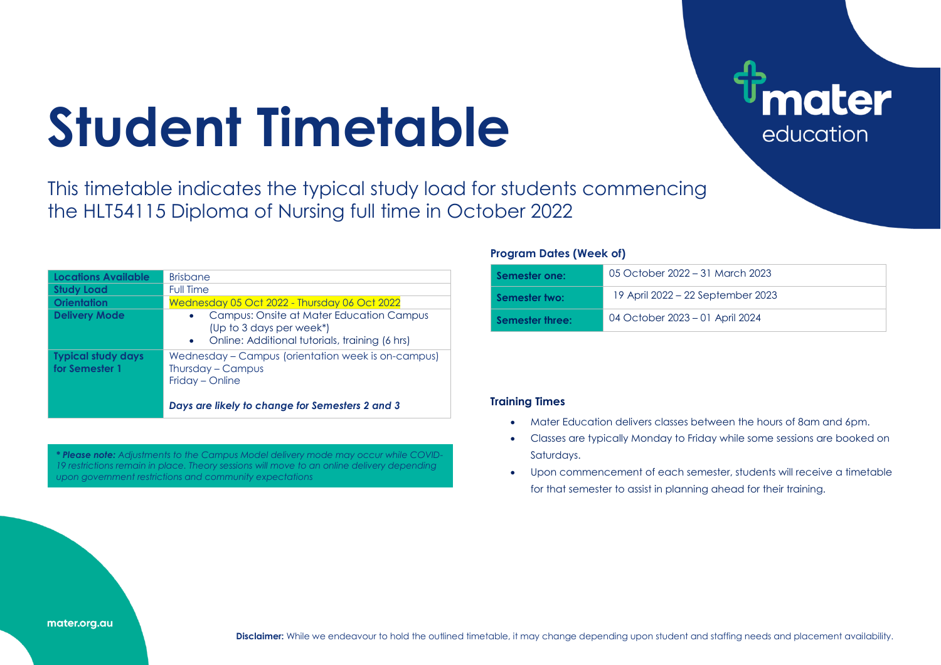# **Student Timetable**

This timetable indicates the typical study load for students commencing the HLT54115 Diploma of Nursing full time in October 2022

| Locations Available                         | <b>Brisbane</b>                                                                                                                                  |
|---------------------------------------------|--------------------------------------------------------------------------------------------------------------------------------------------------|
| <b>Study Load</b>                           | Full Time                                                                                                                                        |
| <b>Orientation</b>                          | Wednesday 05 Oct 2022 - Thursday 06 Oct 2022                                                                                                     |
| <b>Delivery Mode</b>                        | Campus: Onsite at Mater Education Campus<br>$\bullet$<br>(Up to 3 days per week*)<br>Online: Additional tutorials, training (6 hrs)<br>$\bullet$ |
| <b>Typical study days</b><br>for Semester 1 | Wednesday - Campus (orientation week is on-campus)<br>Thursday - Campus<br>Friday - Online<br>Days are likely to change for Semesters 2 and 3    |
|                                             |                                                                                                                                                  |

*\* Please note: Adjustments to the Campus Model delivery mode may occur while COVID-19 restrictions remain in place. Theory sessions will move to an online delivery depending upon government restrictions and community expectations*

#### **Program Dates (Week of)**

| Semester one:   | 05 October 2022 – 31 March 2023   |
|-----------------|-----------------------------------|
| Semester two:   | 19 April 2022 – 22 September 2023 |
| Semester three: | 04 October 2023 – 01 April 2024   |

**ater** 

education

### **Training Times**

- Mater Education delivers classes between the hours of 8am and 6pm.
- Classes are typically Monday to Friday while some sessions are booked on Saturdays.
- Upon commencement of each semester, students will receive a timetable for that semester to assist in planning ahead for their training.

#### mater.org.au